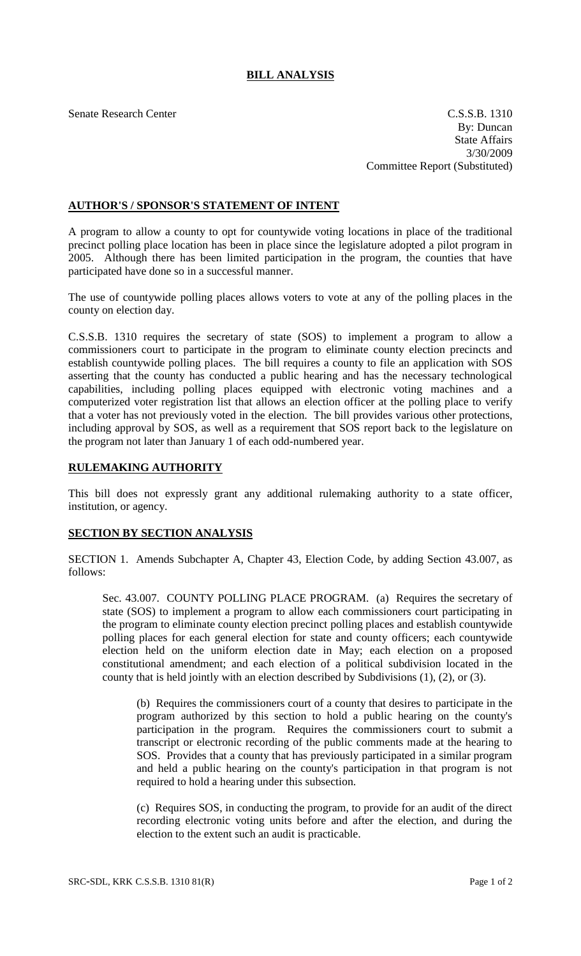## **BILL ANALYSIS**

Senate Research Center C.S.S.B. 1310 By: Duncan State Affairs 3/30/2009 Committee Report (Substituted)

## **AUTHOR'S / SPONSOR'S STATEMENT OF INTENT**

A program to allow a county to opt for countywide voting locations in place of the traditional precinct polling place location has been in place since the legislature adopted a pilot program in 2005. Although there has been limited participation in the program, the counties that have participated have done so in a successful manner.

The use of countywide polling places allows voters to vote at any of the polling places in the county on election day.

C.S.S.B. 1310 requires the secretary of state (SOS) to implement a program to allow a commissioners court to participate in the program to eliminate county election precincts and establish countywide polling places. The bill requires a county to file an application with SOS asserting that the county has conducted a public hearing and has the necessary technological capabilities, including polling places equipped with electronic voting machines and a computerized voter registration list that allows an election officer at the polling place to verify that a voter has not previously voted in the election. The bill provides various other protections, including approval by SOS, as well as a requirement that SOS report back to the legislature on the program not later than January 1 of each odd-numbered year.

## **RULEMAKING AUTHORITY**

This bill does not expressly grant any additional rulemaking authority to a state officer, institution, or agency.

## **SECTION BY SECTION ANALYSIS**

SECTION 1. Amends Subchapter A, Chapter 43, Election Code, by adding Section 43.007, as follows:

Sec. 43.007. COUNTY POLLING PLACE PROGRAM. (a) Requires the secretary of state (SOS) to implement a program to allow each commissioners court participating in the program to eliminate county election precinct polling places and establish countywide polling places for each general election for state and county officers; each countywide election held on the uniform election date in May; each election on a proposed constitutional amendment; and each election of a political subdivision located in the county that is held jointly with an election described by Subdivisions (1), (2), or (3).

(b) Requires the commissioners court of a county that desires to participate in the program authorized by this section to hold a public hearing on the county's participation in the program. Requires the commissioners court to submit a transcript or electronic recording of the public comments made at the hearing to SOS. Provides that a county that has previously participated in a similar program and held a public hearing on the county's participation in that program is not required to hold a hearing under this subsection.

(c) Requires SOS, in conducting the program, to provide for an audit of the direct recording electronic voting units before and after the election, and during the election to the extent such an audit is practicable.